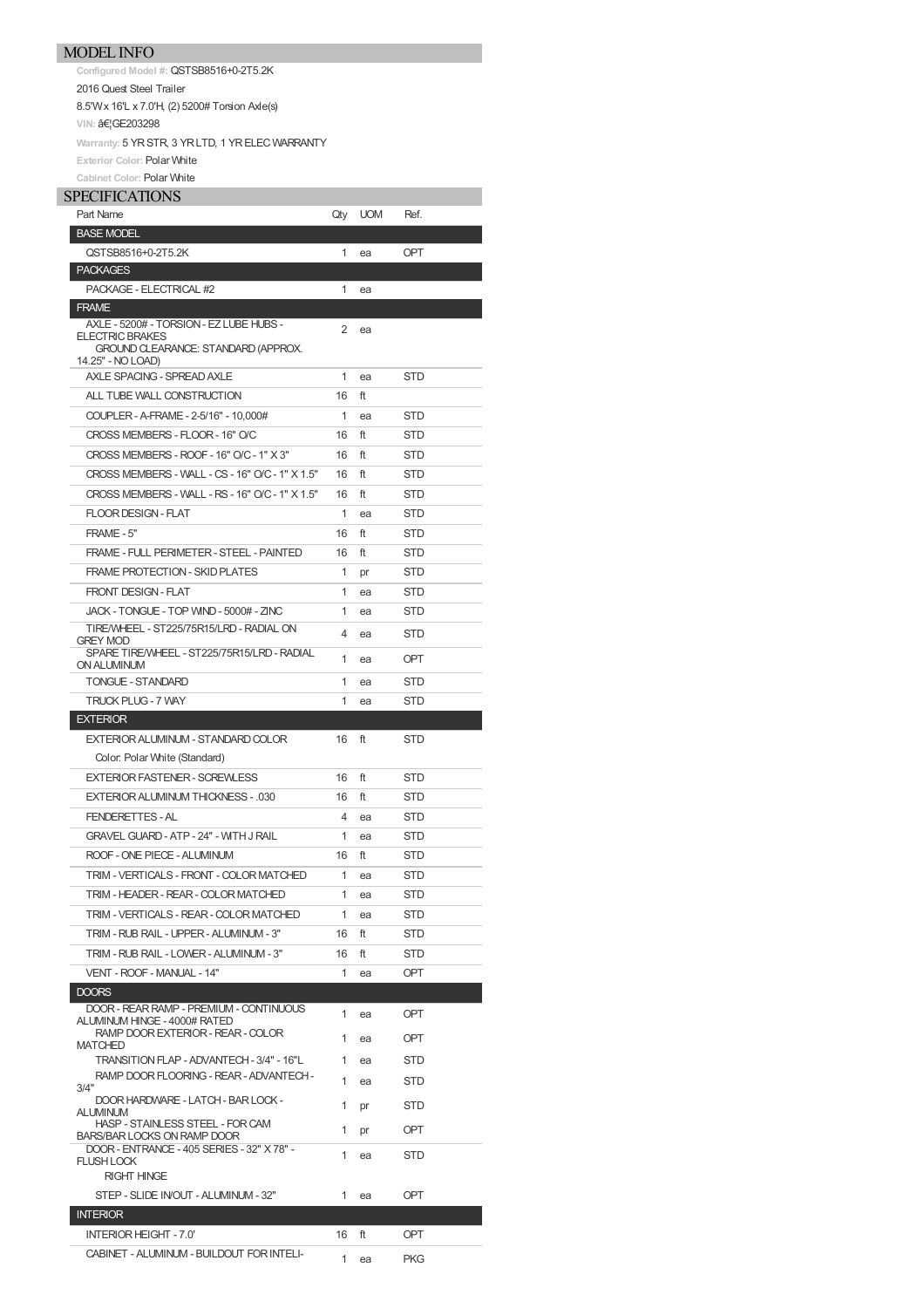**Configured Model #:** QSTSB8516+0-2T5.2K 2016 Quest Steel Trailer 8.5'Wx 16'L x 7.0'H, (2) 5200# Torsion Axle(s) **VIN: …GE203298** Warranty: 5 YR STR, 3 YR LTD, 1 YR ELEC WARRANTY **Exterior Color:** Polar White

**Cabinet Color:** Polar White

## SPECIFICATIONS

| Part Name                                                               | Qty            | <b>UOM</b> | Ref.       |
|-------------------------------------------------------------------------|----------------|------------|------------|
| <b>BASE MODEL</b>                                                       |                |            |            |
| QSTSB8516+0-2T5.2K                                                      | 1              | ea         | OPT        |
| <b>PACKAGES</b>                                                         |                |            |            |
| PACKAGE - ELECTRICAL #2                                                 | 1              | ea         |            |
| <b>FRAME</b>                                                            |                |            |            |
| AXLE - 5200# - TORSION - EZ LUBE HUBS -<br><b>ELECTRIC BRAKES</b>       | $\overline{2}$ | ea         |            |
| GROUND CLEARANCE: STANDARD (APPROX.                                     |                |            |            |
| 14.25" - NO LOAD)<br>AXLE SPACING - SPREAD AXLE                         | 1              | ea         | STD        |
| ALL TUBE WALL CONSTRUCTION                                              | 16             | ft         |            |
| COUPLER - A-FRAME - 2-5/16" - 10,000#                                   | 1              | ea         | STD        |
| CROSS MEMBERS - FLOOR - 16" O/C                                         | 16             | ft         | STD        |
| CROSS MEMBERS - ROOF - 16" O/C - 1" X 3"                                | 16             | ft         | STD        |
|                                                                         |                |            |            |
| CROSS MEMBERS - WALL - CS - 16" O/C - 1" X 1.5"                         | 16             | ft         | STD        |
| CROSS MEMBERS - WALL - RS - 16" O/C - 1" X 1.5"                         | 16             | ft         | STD        |
| <b>FLOOR DESIGN - FLAT</b>                                              | 1              | ea         | STD        |
| FRAME - 5"                                                              | 16             | ft         | STD        |
| FRAME - FULL PERIMETER - STEEL - PAINTED                                | 16             | ft         | STD        |
| <b>FRAME PROTECTION - SKID PLATES</b>                                   | 1              | pr         | STD        |
| <b>FRONT DESIGN - FLAT</b>                                              | 1              | ea         | STD        |
| JACK - TONGUE - TOP WIND - 5000# - ZINC                                 | 1              | ea         | STD        |
| TIRE/WHEEL - ST225/75R15/LRD - RADIAL ON<br><b>GREY MOD</b>             | 4              | ea         | STD        |
| SPARE TIRE/WHEEL - ST225/75R15/LRD - RADIAL                             | 1              | ea         | OPT        |
| <b>ON ALUMINUM</b><br><b>TONGUE - STANDARD</b>                          | 1              | ea         | STD        |
| TRUCK PLUG - 7 WAY                                                      | 1              |            | STD        |
| <b>EXTERIOR</b>                                                         |                | ea         |            |
| EXTERIOR ALUMINUM - STANDARD COLOR                                      | 16             | ft         | STD        |
| Color. Polar White (Standard)                                           |                |            |            |
| EXTERIOR FASTENER - SCREWLESS                                           | 16             | ft         | STD        |
| EXTERIOR ALUMINUM THICKNESS - .030                                      | 16             | ft         | STD        |
| <b>FENDERETTES - AL</b>                                                 | 4              |            |            |
|                                                                         |                | ea         | STD        |
| <b>GRAVEL GUARD - ATP - 24" - WITH J RAIL</b>                           | 1              | ea         | STD        |
| ROOF - ONE PIECE - ALUMINUM                                             | 16             | ft         | STD        |
| TRIM - VERTICALS - FRONT - COLOR MATCHED                                | 1              | ea         | STD        |
| TRIM - HEADER - REAR - COLOR MATCHED                                    | 1              | ea         | <b>STD</b> |
| TRIM - VERTICALS - REAR - COLOR MATCHED                                 | 1              | ea         | STD        |
| TRIM - RUB RAIL - UPPER - ALUMINUM - 3"                                 | 16             | ft         | STD        |
| TRIM - RUB RAIL - LOWER - ALUMINUM - 3"                                 | 16             | ft         | STD        |
| VENT - ROOF - MANUAL - 14"                                              | 1              | ea         | OPT        |
| <b>DOORS</b>                                                            |                |            |            |
| DOOR - REAR RAMP - PREMIUM - CONTINUOUS<br>ALUMINUM HINGE - 4000# RATED | 1              | ea         | <b>OPT</b> |
| RAMP DOOR EXTERIOR - REAR - COLOR<br><b>MATCHED</b>                     | 1              | ea         | OPT        |
| TRANSITION FLAP - ADVANTECH - 3/4" - 16"L                               | 1              | ea         | STD        |
| RAMP DOOR FLOORING - REAR - ADVANTECH -                                 | 1              | ea         | STD        |
| 3/4"<br>DOOR HARDWARE - LATCH - BAR LOCK -                              |                |            |            |
| <b>ALUMINUM</b>                                                         | 1              | pr         | STD        |
| HASP - STAINLESS STEEL - FOR CAM<br><b>BARS/BAR LOCKS ON RAMP DOOR</b>  | 1              | pr         | OPT        |
| DOOR - ENTRANCE - 405 SERIES - 32" X 78" -                              | 1              | ea         | STD        |
| <b>FLUSH LOCK</b><br><b>RIGHT HINGE</b>                                 |                |            |            |
| STEP - SLIDE IN/OUT - ALUMINUM - 32"                                    | 1              | ea         | OPT        |
| <b>INTERIOR</b>                                                         |                |            |            |
| <b>INTERIOR HEIGHT - 7.0'</b>                                           | 16             | ft         | OPT        |
| CABINET - ALUMINUM - BUILDOUT FOR INTELI-                               |                |            |            |
|                                                                         | 1              | ea         | PKG        |